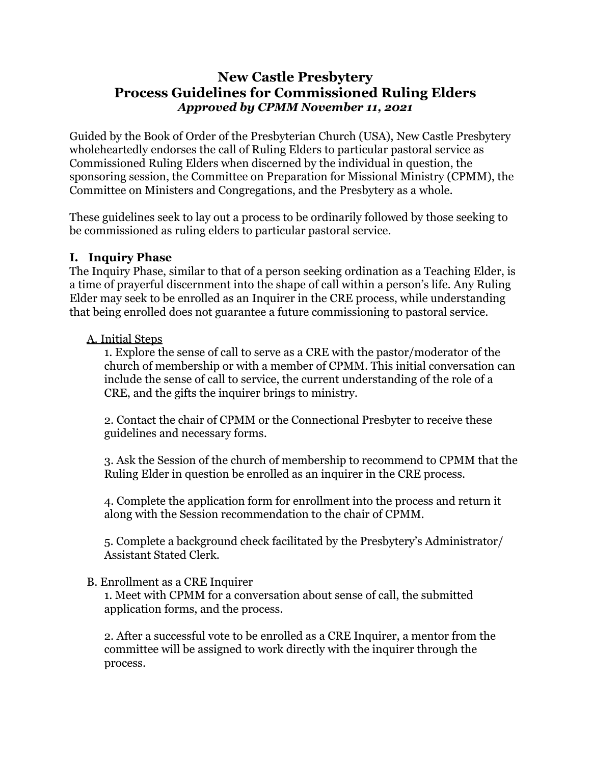## **New Castle Presbytery Process Guidelines for Commissioned Ruling Elders** *Approved by CPMM November 11, 2021*

Guided by the Book of Order of the Presbyterian Church (USA), New Castle Presbytery wholeheartedly endorses the call of Ruling Elders to particular pastoral service as Commissioned Ruling Elders when discerned by the individual in question, the sponsoring session, the Committee on Preparation for Missional Ministry (CPMM), the Committee on Ministers and Congregations, and the Presbytery as a whole.

These guidelines seek to lay out a process to be ordinarily followed by those seeking to be commissioned as ruling elders to particular pastoral service.

## **I. Inquiry Phase**

The Inquiry Phase, similar to that of a person seeking ordination as a Teaching Elder, is a time of prayerful discernment into the shape of call within a person's life. Any Ruling Elder may seek to be enrolled as an Inquirer in the CRE process, while understanding that being enrolled does not guarantee a future commissioning to pastoral service.

#### A. Initial Steps

1. Explore the sense of call to serve as a CRE with the pastor/moderator of the church of membership or with a member of CPMM. This initial conversation can include the sense of call to service, the current understanding of the role of a CRE, and the gifts the inquirer brings to ministry.

2. Contact the chair of CPMM or the Connectional Presbyter to receive these guidelines and necessary forms.

3. Ask the Session of the church of membership to recommend to CPMM that the Ruling Elder in question be enrolled as an inquirer in the CRE process.

4. Complete the application form for enrollment into the process and return it along with the Session recommendation to the chair of CPMM.

5. Complete a background check facilitated by the Presbytery's Administrator/ Assistant Stated Clerk.

## B. Enrollment as a CRE Inquirer

1. Meet with CPMM for a conversation about sense of call, the submitted application forms, and the process.

2. After a successful vote to be enrolled as a CRE Inquirer, a mentor from the committee will be assigned to work directly with the inquirer through the process.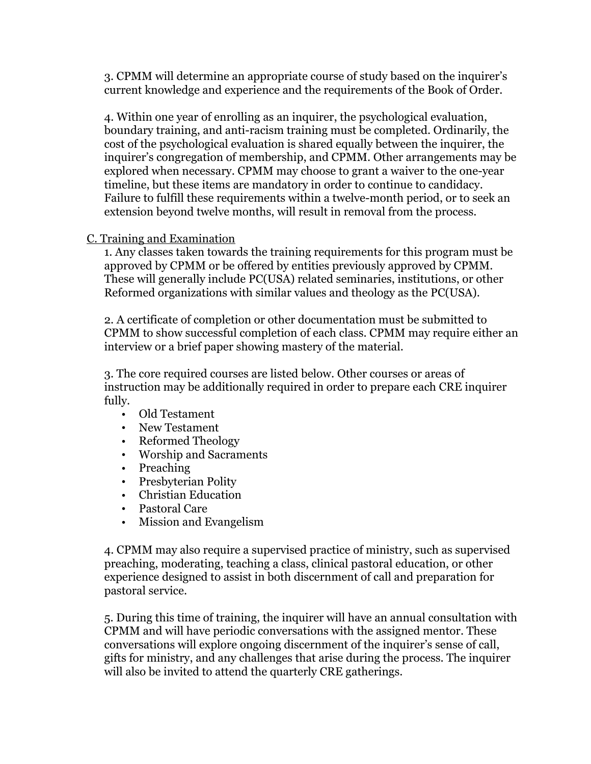3. CPMM will determine an appropriate course of study based on the inquirer's current knowledge and experience and the requirements of the Book of Order.

4. Within one year of enrolling as an inquirer, the psychological evaluation, boundary training, and anti-racism training must be completed. Ordinarily, the cost of the psychological evaluation is shared equally between the inquirer, the inquirer's congregation of membership, and CPMM. Other arrangements may be explored when necessary. CPMM may choose to grant a waiver to the one-year timeline, but these items are mandatory in order to continue to candidacy. Failure to fulfill these requirements within a twelve-month period, or to seek an extension beyond twelve months, will result in removal from the process.

#### C. Training and Examination

1. Any classes taken towards the training requirements for this program must be approved by CPMM or be offered by entities previously approved by CPMM. These will generally include PC(USA) related seminaries, institutions, or other Reformed organizations with similar values and theology as the PC(USA).

2. A certificate of completion or other documentation must be submitted to CPMM to show successful completion of each class. CPMM may require either an interview or a brief paper showing mastery of the material.

3. The core required courses are listed below. Other courses or areas of instruction may be additionally required in order to prepare each CRE inquirer fully.

- Old Testament
- New Testament
- Reformed Theology
- Worship and Sacraments
- Preaching
- Presbyterian Polity
- Christian Education
- Pastoral Care
- Mission and Evangelism

4. CPMM may also require a supervised practice of ministry, such as supervised preaching, moderating, teaching a class, clinical pastoral education, or other experience designed to assist in both discernment of call and preparation for pastoral service.

5. During this time of training, the inquirer will have an annual consultation with CPMM and will have periodic conversations with the assigned mentor. These conversations will explore ongoing discernment of the inquirer's sense of call, gifts for ministry, and any challenges that arise during the process. The inquirer will also be invited to attend the quarterly CRE gatherings.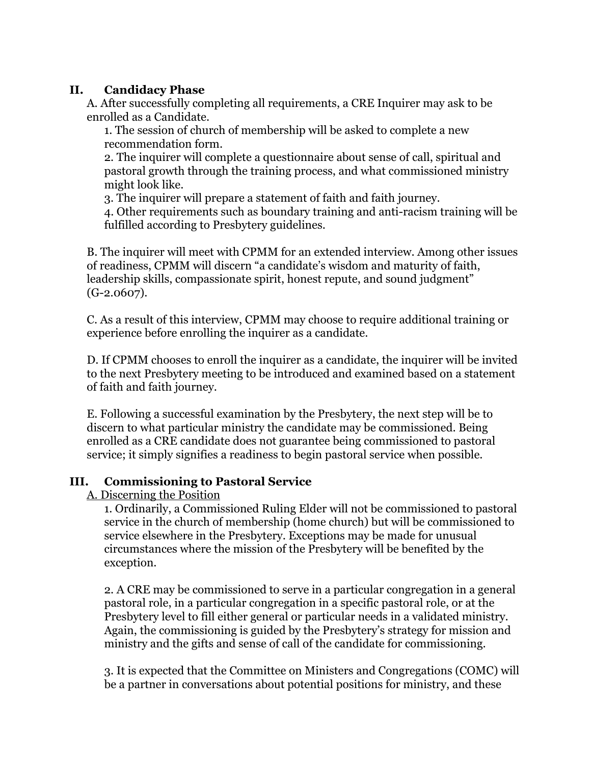### **II. Candidacy Phase**

A. After successfully completing all requirements, a CRE Inquirer may ask to be enrolled as a Candidate.

1. The session of church of membership will be asked to complete a new recommendation form.

2. The inquirer will complete a questionnaire about sense of call, spiritual and pastoral growth through the training process, and what commissioned ministry might look like.

3. The inquirer will prepare a statement of faith and faith journey.

4. Other requirements such as boundary training and anti-racism training will be fulfilled according to Presbytery guidelines.

B. The inquirer will meet with CPMM for an extended interview. Among other issues of readiness, CPMM will discern "a candidate's wisdom and maturity of faith, leadership skills, compassionate spirit, honest repute, and sound judgment" (G-2.0607).

C. As a result of this interview, CPMM may choose to require additional training or experience before enrolling the inquirer as a candidate.

D. If CPMM chooses to enroll the inquirer as a candidate, the inquirer will be invited to the next Presbytery meeting to be introduced and examined based on a statement of faith and faith journey.

E. Following a successful examination by the Presbytery, the next step will be to discern to what particular ministry the candidate may be commissioned. Being enrolled as a CRE candidate does not guarantee being commissioned to pastoral service; it simply signifies a readiness to begin pastoral service when possible.

## **III. Commissioning to Pastoral Service**

A. Discerning the Position

1. Ordinarily, a Commissioned Ruling Elder will not be commissioned to pastoral service in the church of membership (home church) but will be commissioned to service elsewhere in the Presbytery. Exceptions may be made for unusual circumstances where the mission of the Presbytery will be benefited by the exception.

2. A CRE may be commissioned to serve in a particular congregation in a general pastoral role, in a particular congregation in a specific pastoral role, or at the Presbytery level to fill either general or particular needs in a validated ministry. Again, the commissioning is guided by the Presbytery's strategy for mission and ministry and the gifts and sense of call of the candidate for commissioning.

3. It is expected that the Committee on Ministers and Congregations (COMC) will be a partner in conversations about potential positions for ministry, and these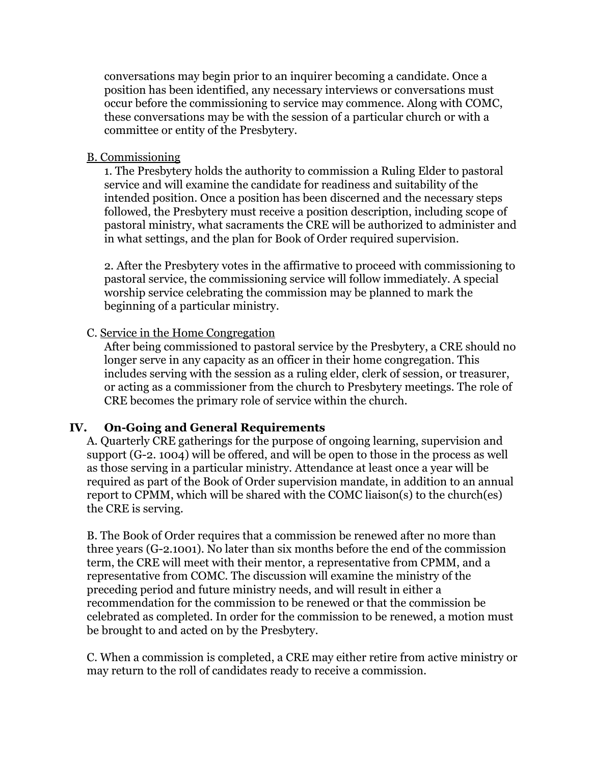conversations may begin prior to an inquirer becoming a candidate. Once a position has been identified, any necessary interviews or conversations must occur before the commissioning to service may commence. Along with COMC, these conversations may be with the session of a particular church or with a committee or entity of the Presbytery.

#### B. Commissioning

1. The Presbytery holds the authority to commission a Ruling Elder to pastoral service and will examine the candidate for readiness and suitability of the intended position. Once a position has been discerned and the necessary steps followed, the Presbytery must receive a position description, including scope of pastoral ministry, what sacraments the CRE will be authorized to administer and in what settings, and the plan for Book of Order required supervision.

2. After the Presbytery votes in the affirmative to proceed with commissioning to pastoral service, the commissioning service will follow immediately. A special worship service celebrating the commission may be planned to mark the beginning of a particular ministry.

#### C. Service in the Home Congregation

After being commissioned to pastoral service by the Presbytery, a CRE should no longer serve in any capacity as an officer in their home congregation. This includes serving with the session as a ruling elder, clerk of session, or treasurer, or acting as a commissioner from the church to Presbytery meetings. The role of CRE becomes the primary role of service within the church.

## **IV. On-Going and General Requirements**

A. Quarterly CRE gatherings for the purpose of ongoing learning, supervision and support (G-2. 1004) will be offered, and will be open to those in the process as well as those serving in a particular ministry. Attendance at least once a year will be required as part of the Book of Order supervision mandate, in addition to an annual report to CPMM, which will be shared with the COMC liaison(s) to the church(es) the CRE is serving.

B. The Book of Order requires that a commission be renewed after no more than three years (G-2.1001). No later than six months before the end of the commission term, the CRE will meet with their mentor, a representative from CPMM, and a representative from COMC. The discussion will examine the ministry of the preceding period and future ministry needs, and will result in either a recommendation for the commission to be renewed or that the commission be celebrated as completed. In order for the commission to be renewed, a motion must be brought to and acted on by the Presbytery.

C. When a commission is completed, a CRE may either retire from active ministry or may return to the roll of candidates ready to receive a commission.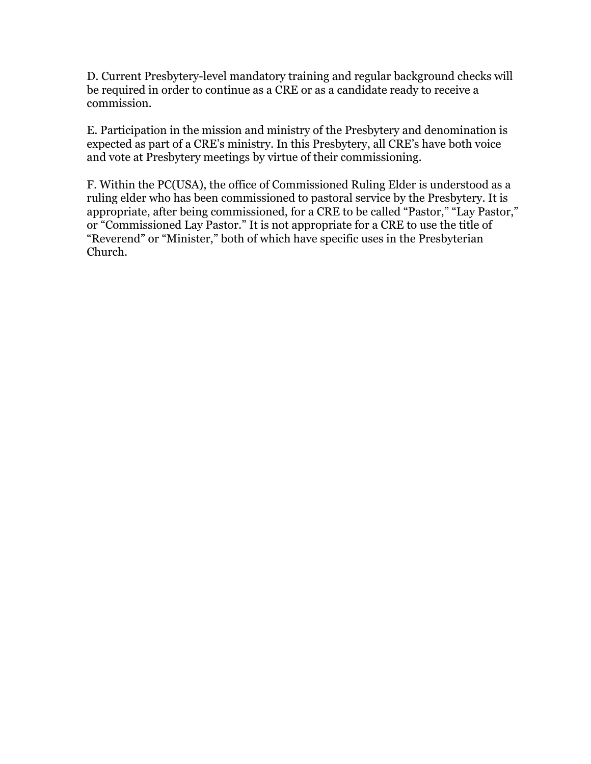D. Current Presbytery-level mandatory training and regular background checks will be required in order to continue as a CRE or as a candidate ready to receive a commission.

E. Participation in the mission and ministry of the Presbytery and denomination is expected as part of a CRE's ministry. In this Presbytery, all CRE's have both voice and vote at Presbytery meetings by virtue of their commissioning.

F. Within the PC(USA), the office of Commissioned Ruling Elder is understood as a ruling elder who has been commissioned to pastoral service by the Presbytery. It is appropriate, after being commissioned, for a CRE to be called "Pastor," "Lay Pastor," or "Commissioned Lay Pastor." It is not appropriate for a CRE to use the title of "Reverend" or "Minister," both of which have specific uses in the Presbyterian Church.